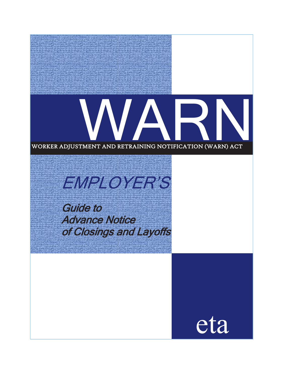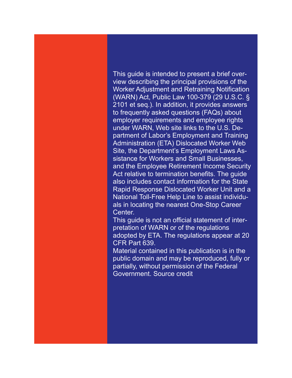This guide is intended to present a brief overview describing the principal provisions of the Worker Adjustment and Retraining Notification (WARN) Act, Public Law 100-379 (29 U.S.C. § 2101 et seq.). In addition, it provides answers to frequently asked questions (FAQs) about employer requirements and employee rights under WARN, Web site links to the U.S. Department of Labor's Employment and Training Administration (ETA) Dislocated Worker Web Site, the Department's Employment Laws Assistance for Workers and Small Businesses, and the Employee Retirement Income Security Act relative to termination benefits. The guide also includes contact information for the State Rapid Response Dislocated Worker Unit and a National Toll-Free Help Line to assist individuals in locating the nearest One-Stop Career Center.

This guide is not an official statement of interpretation of WARN or of the regulations adopted by ETA. The regulations appear at 20 CFR Part 639.

Material contained in this publication is in the public domain and may be reproduced, fully or partially, without permission of the Federal Government. Source credit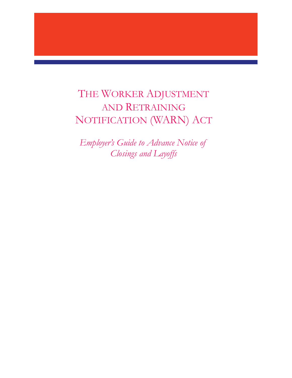# THE WORKER ADJUSTMENT AND RETRAINING NOTIFICATION (WARN) ACT

*Employer's Guide to Advance Notice of Closings and Layoffs*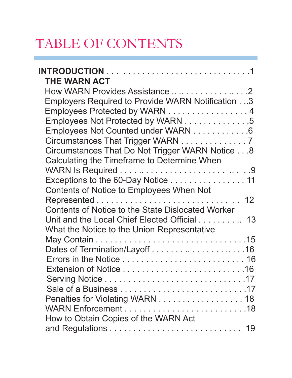# TABLE OF CONTENTS

| <b>THE WARN ACT</b>                                      |
|----------------------------------------------------------|
| How WARN Provides Assistance   2                         |
| Employers Required to Provide WARN Notification.3        |
| Employees Protected by WARN 4                            |
| Employees Not Protected by WARN 5                        |
| Employees Not Counted under WARN 6                       |
| Circumstances That Trigger WARN 7                        |
| Circumstances That Do Not Trigger WARN Notice 8          |
| <b>Calculating the Timeframe to Determine When</b>       |
|                                                          |
| Exceptions to the 60-Day Notice 11                       |
| Contents of Notice to Employees When Not                 |
|                                                          |
| <b>Contents of Notice to the State Dislocated Worker</b> |
| Unit and the Local Chief Elected Official 13             |
| What the Notice to the Union Representative              |
|                                                          |
|                                                          |
|                                                          |
|                                                          |
|                                                          |
|                                                          |
| Penalties for Violating WARN 18                          |
| How to Obtain Copies of the WARN Act                     |
|                                                          |
|                                                          |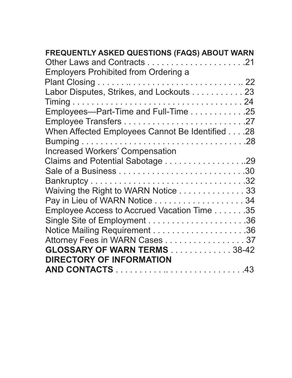| FREQUENTLY ASKED QUESTIONS (FAQS) ABOUT WARN    |
|-------------------------------------------------|
|                                                 |
| <b>Employers Prohibited from Ordering a</b>     |
|                                                 |
| Labor Disputes, Strikes, and Lockouts 23        |
|                                                 |
| Employees-Part-Time and Full-Time 25            |
|                                                 |
| When Affected Employees Cannot Be Identified 28 |
|                                                 |
| <b>Increased Workers' Compensation</b>          |
|                                                 |
|                                                 |
|                                                 |
| Waiving the Right to WARN Notice 33             |
| Pay in Lieu of WARN Notice 34                   |
| Employee Access to Accrued Vacation Time 35     |
|                                                 |
|                                                 |
| Attorney Fees in WARN Cases 37                  |
| <b>GLOSSARY OF WARN TERMS 38-42</b>             |
| <b>DIRECTORY OF INFORMATION</b>                 |
|                                                 |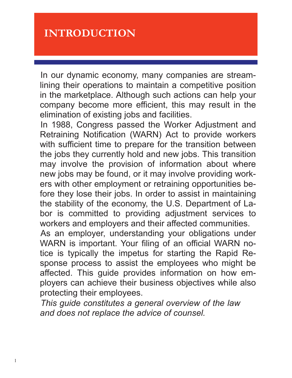# **INTRODUCTION**

In our dynamic economy, many companies are streamlining their operations to maintain a competitive position in the marketplace. Although such actions can help your company become more efficient, this may result in the elimination of existing jobs and facilities.

In 1988, Congress passed the Worker Adjustment and Retraining Notification (WARN) Act to provide workers with sufficient time to prepare for the transition between the jobs they currently hold and new jobs. This transition may involve the provision of information about where new jobs may be found, or it may involve providing workers with other employment or retraining opportunities before they lose their jobs. In order to assist in maintaining the stability of the economy, the U.S. Department of Labor is committed to providing adjustment services to workers and employers and their affected communities. As an employer, understanding your obligations under WARN is important. Your filing of an official WARN notice is typically the impetus for starting the Rapid Re-

sponse process to assist the employees who might be affected. This guide provides information on how employers can achieve their business objectives while also protecting their employees.

*This guide constitutes a general overview of the law and does not replace the advice of counsel.*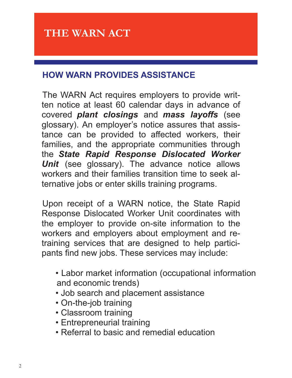# **HOW WARN PROVIDES ASSISTANCE**

The WARN Act requires employers to provide written notice at least 60 calendar days in advance of covered *plant closings* and *mass layoffs* (see glossary). An employer's notice assures that assistance can be provided to affected workers, their families, and the appropriate communities through the *State Rapid Response Dislocated Worker*  **Unit** (see glossary). The advance notice allows workers and their families transition time to seek alternative jobs or enter skills training programs.

Upon receipt of a WARN notice, the State Rapid Response Dislocated Worker Unit coordinates with the employer to provide on-site information to the workers and employers about employment and retraining services that are designed to help participants find new jobs. These services may include:

- Labor market information (occupational information and economic trends)
- Job search and placement assistance
- On-the-job training
- Classroom training
- Entrepreneurial training
- Referral to basic and remedial education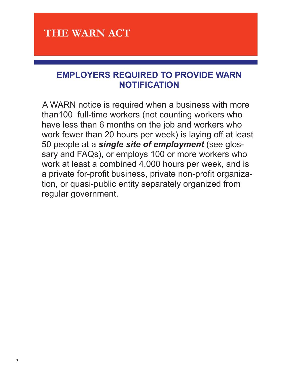# **EMPLOYERS REQUIRED TO PROVIDE WARN NOTIFICATION**

A WARN notice is required when a business with more than100 full-time workers (not counting workers who have less than 6 months on the job and workers who work fewer than 20 hours per week) is laying off at least 50 people at a *single site of employment* (see glossary and FAQs), or employs 100 or more workers who work at least a combined 4,000 hours per week, and is a private for-profit business, private non-profit organization, or quasi-public entity separately organized from regular government.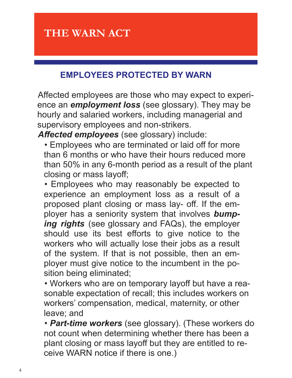# **EMPLOYEES PROTECTED BY WARN**

Affected employees are those who may expect to experience an *employment loss* (see glossary). They may be hourly and salaried workers, including managerial and supervisory employees and non-strikers.

*Affected employees* (see glossary) include:

• Employees who are terminated or laid off for more than 6 months or who have their hours reduced more than 50% in any 6-month period as a result of the plant closing or mass layoff;

• Employees who may reasonably be expected to experience an employment loss as a result of a proposed plant closing or mass lay- off. If the employer has a seniority system that involves *bumping rights* (see glossary and FAQs), the employer should use its best efforts to give notice to the workers who will actually lose their jobs as a result of the system. If that is not possible, then an employer must give notice to the incumbent in the position being eliminated;

• Workers who are on temporary layoff but have a reasonable expectation of recall; this includes workers on workers' compensation, medical, maternity, or other leave; and

• *Part-time workers* (see glossary). (These workers do not count when determining whether there has been a plant closing or mass layoff but they are entitled to receive WARN notice if there is one.)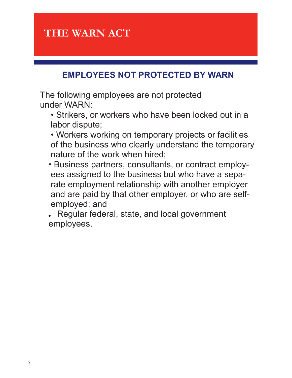# **EMPLOYEES NOT PROTECTED BY WARN**

The following employees are not protected under WARN:

- Strikers, or workers who have been locked out in a labor dispute;
- Workers working on temporary projects or facilities of the business who clearly understand the temporary nature of the work when hired;
- Business partners, consultants, or contract employees assigned to the business but who have a separate employment relationship with another employer and are paid by that other employer, or who are selfemployed; and

Regular federal, state, and local government employees.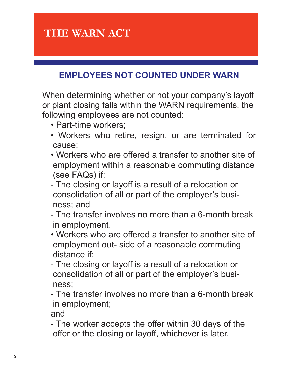# **EMPLOYEES NOT COUNTED UNDER WARN**

When determining whether or not your company's layoff or plant closing falls within the WARN requirements, the following employees are not counted:

- Part-time workers;
- Workers who retire, resign, or are terminated for cause;
- Workers who are offered a transfer to another site of employment within a reasonable commuting distance (see FAQs) if:
- The closing or layoff is a result of a relocation or consolidation of all or part of the employer's business; and
- The transfer involves no more than a 6-month break in employment.
- Workers who are offered a transfer to another site of employment out- side of a reasonable commuting distance if:
- The closing or layoff is a result of a relocation or consolidation of all or part of the employer's business;
- The transfer involves no more than a 6-month break in employment;

and

- The worker accepts the offer within 30 days of the offer or the closing or layoff, whichever is later.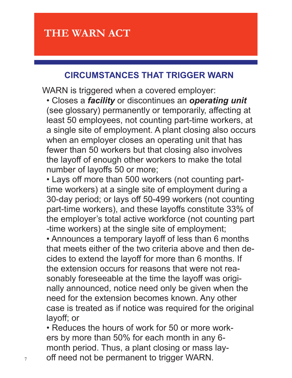# **CIRCUMSTANCES THAT TRIGGER WARN**

WARN is triggered when a covered employer:

• Closes a *facility* or discontinues an *operating unit*  (see glossary) permanently or temporarily, affecting at least 50 employees, not counting part-time workers, at a single site of employment. A plant closing also occurs when an employer closes an operating unit that has fewer than 50 workers but that closing also involves the layoff of enough other workers to make the total number of layoffs 50 or more;

• Lays off more than 500 workers (not counting parttime workers) at a single site of employment during a 30-day period; or lays off 50-499 workers (not counting part-time workers), and these layoffs constitute 33% of the employer's total active workforce (not counting part -time workers) at the single site of employment;

• Announces a temporary layoff of less than 6 months that meets either of the two criteria above and then decides to extend the layoff for more than 6 months. If the extension occurs for reasons that were not reasonably foreseeable at the time the layoff was originally announced, notice need only be given when the need for the extension becomes known. Any other case is treated as if notice was required for the original layoff; or

• Reduces the hours of work for 50 or more workers by more than 50% for each month in any 6 month period. Thus, a plant closing or mass lay- $7 \text{ of } 7$  off need not be permanent to trigger WARN.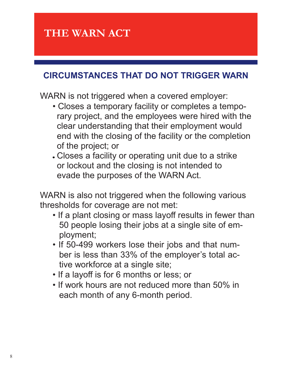### **CIRCUMSTANCES THAT DO NOT TRIGGER WARN**

WARN is not triggered when a covered employer:

- Closes a temporary facility or completes a temporary project, and the employees were hired with the clear understanding that their employment would end with the closing of the facility or the completion of the project; or
- Closes a facility or operating unit due to a strike or lockout and the closing is not intended to evade the purposes of the WARN Act.

WARN is also not triggered when the following various thresholds for coverage are not met:

- If a plant closing or mass layoff results in fewer than 50 people losing their jobs at a single site of employment;
- If 50-499 workers lose their jobs and that number is less than 33% of the employer's total active workforce at a single site;
- If a layoff is for 6 months or less; or
- If work hours are not reduced more than 50% in each month of any 6-month period.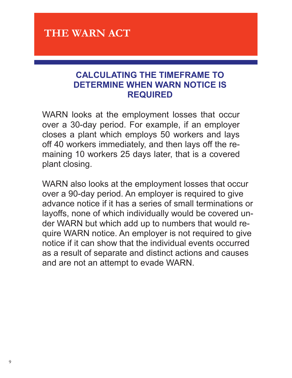### **CALCULATING THE TIMEFRAME TO DETERMINE WHEN WARN NOTICE IS REQUIRED**

WARN looks at the employment losses that occur over a 30-day period. For example, if an employer closes a plant which employs 50 workers and lays off 40 workers immediately, and then lays off the remaining 10 workers 25 days later, that is a covered plant closing.

WARN also looks at the employment losses that occur over a 90-day period. An employer is required to give advance notice if it has a series of small terminations or layoffs, none of which individually would be covered under WARN but which add up to numbers that would require WARN notice. An employer is not required to give notice if it can show that the individual events occurred as a result of separate and distinct actions and causes and are not an attempt to evade WARN.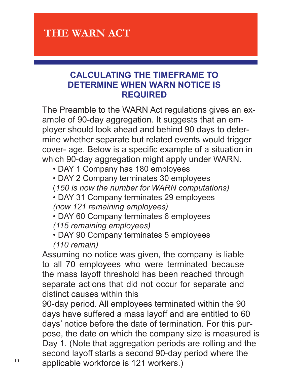### **CALCULATING THE TIMEFRAME TO DETERMINE WHEN WARN NOTICE IS REQUIRED**

The Preamble to the WARN Act regulations gives an example of 90-day aggregation. It suggests that an employer should look ahead and behind 90 days to determine whether separate but related events would trigger cover- age. Below is a specific example of a situation in which 90-day aggregation might apply under WARN.

- DAY 1 Company has 180 employees
- DAY 2 Company terminates 30 employees
- (*150 is now the number for WARN computations)*
- DAY 31 Company terminates 29 employees *(now 121 remaining employees)*
- DAY 60 Company terminates 6 employees *(115 remaining employees)*
- DAY 90 Company terminates 5 employees *(110 remain)*

Assuming no notice was given, the company is liable to all 70 employees who were terminated because the mass layoff threshold has been reached through separate actions that did not occur for separate and distinct causes within this

90-day period. All employees terminated within the 90 days have suffered a mass layoff and are entitled to 60 days' notice before the date of termination. For this purpose, the date on which the company size is measured is Day 1. (Note that aggregation periods are rolling and the second layoff starts a second 90-day period where the  $10$  applicable workforce is 121 workers.)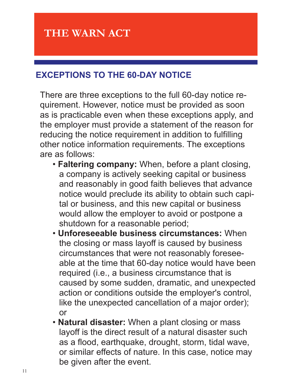# **EXCEPTIONS TO THE 60-DAY NOTICE**

There are three exceptions to the full 60-day notice requirement. However, notice must be provided as soon as is practicable even when these exceptions apply, and the employer must provide a statement of the reason for reducing the notice requirement in addition to fulfilling other notice information requirements. The exceptions are as follows:

- **Faltering company:** When, before a plant closing, a company is actively seeking capital or business and reasonably in good faith believes that advance notice would preclude its ability to obtain such capital or business, and this new capital or business would allow the employer to avoid or postpone a shutdown for a reasonable period;
- **Unforeseeable business circumstances:** When the closing or mass layoff is caused by business circumstances that were not reasonably foreseeable at the time that 60-day notice would have been required (i.e., a business circumstance that is caused by some sudden, dramatic, and unexpected action or conditions outside the employer's control, like the unexpected cancellation of a major order); or
- **Natural disaster:** When a plant closing or mass layoff is the direct result of a natural disaster such as a flood, earthquake, drought, storm, tidal wave, or similar effects of nature. In this case, notice may be given after the event.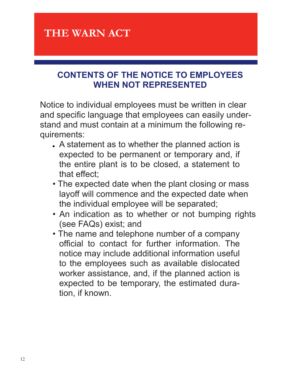# **CONTENTS OF THE NOTICE TO EMPLOYEES WHEN NOT REPRESENTED**

Notice to individual employees must be written in clear and specific language that employees can easily understand and must contain at a minimum the following requirements:

- A statement as to whether the planned action is expected to be permanent or temporary and, if the entire plant is to be closed, a statement to that effect;
- The expected date when the plant closing or mass layoff will commence and the expected date when the individual employee will be separated;
- An indication as to whether or not bumping rights (see FAQs) exist; and
- The name and telephone number of a company official to contact for further information. The notice may include additional information useful to the employees such as available dislocated worker assistance, and, if the planned action is expected to be temporary, the estimated duration, if known.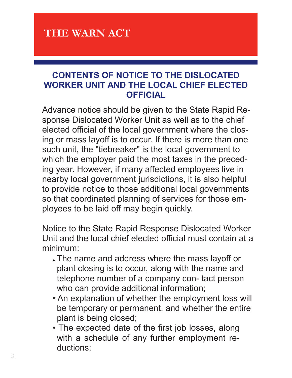### **CONTENTS OF NOTICE TO THE DISLOCATED WORKER UNIT AND THE LOCAL CHIEF ELECTED OFFICIAL**

Advance notice should be given to the State Rapid Response Dislocated Worker Unit as well as to the chief elected official of the local government where the closing or mass layoff is to occur. If there is more than one such unit, the "tiebreaker" is the local government to which the employer paid the most taxes in the preceding year. However, if many affected employees live in nearby local government jurisdictions, it is also helpful to provide notice to those additional local governments so that coordinated planning of services for those employees to be laid off may begin quickly.

Notice to the State Rapid Response Dislocated Worker Unit and the local chief elected official must contain at a minimum:

- The name and address where the mass layoff or plant closing is to occur, along with the name and telephone number of a company con- tact person who can provide additional information;
- An explanation of whether the employment loss will be temporary or permanent, and whether the entire plant is being closed;
- The expected date of the first job losses, along with a schedule of any further employment reductions;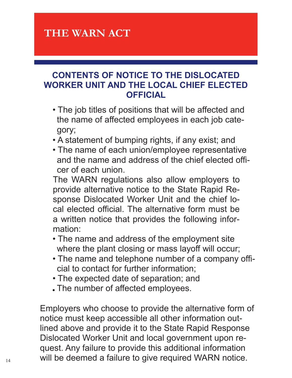### **CONTENTS OF NOTICE TO THE DISLOCATED WORKER UNIT AND THE LOCAL CHIEF ELECTED OFFICIAL**

- The job titles of positions that will be affected and the name of affected employees in each job category;
- A statement of bumping rights, if any exist; and
- The name of each union/employee representative and the name and address of the chief elected officer of each union.

The WARN regulations also allow employers to provide alternative notice to the State Rapid Response Dislocated Worker Unit and the chief local elected official. The alternative form must be a written notice that provides the following information:

- The name and address of the employment site where the plant closing or mass layoff will occur;
- The name and telephone number of a company official to contact for further information;
- The expected date of separation; and
- The number of affected employees.

Employers who choose to provide the alternative form of notice must keep accessible all other information outlined above and provide it to the State Rapid Response Dislocated Worker Unit and local government upon request. Any failure to provide this additional information  $_{14}$  will be deemed a failure to give required WARN notice.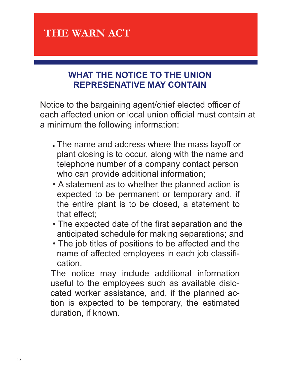# **WHAT THE NOTICE TO THE UNION REPRESENATIVE MAY CONTAIN**

Notice to the bargaining agent/chief elected officer of each affected union or local union official must contain at a minimum the following information:

- The name and address where the mass layoff or plant closing is to occur, along with the name and telephone number of a company contact person who can provide additional information;
- A statement as to whether the planned action is expected to be permanent or temporary and, if the entire plant is to be closed, a statement to that effect;
- The expected date of the first separation and the anticipated schedule for making separations; and
- The job titles of positions to be affected and the name of affected employees in each job classification.

The notice may include additional information useful to the employees such as available dislocated worker assistance, and, if the planned action is expected to be temporary, the estimated duration, if known.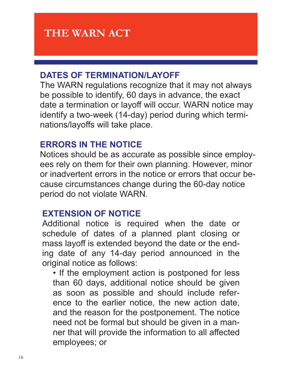### **DATES OF TERMINATION/LAYOFF**

The WARN regulations recognize that it may not always be possible to identify, 60 days in advance, the exact date a termination or layoff will occur. WARN notice may identify a two-week (14-day) period during which terminations/layoffs will take place.

### **ERRORS IN THE NOTICE**

Notices should be as accurate as possible since employees rely on them for their own planning. However, minor or inadvertent errors in the notice or errors that occur because circumstances change during the 60-day notice period do not violate WARN.

### **EXTENSION OF NOTICE**

Additional notice is required when the date or schedule of dates of a planned plant closing or mass layoff is extended beyond the date or the ending date of any 14-day period announced in the original notice as follows:

• If the employment action is postponed for less than 60 days, additional notice should be given as soon as possible and should include reference to the earlier notice, the new action date, and the reason for the postponement. The notice need not be formal but should be given in a manner that will provide the information to all affected employees; or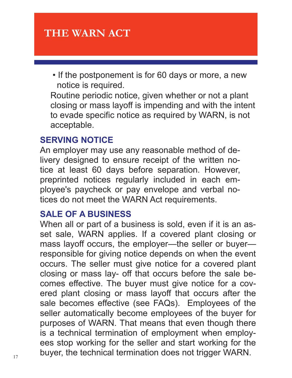• If the postponement is for 60 days or more, a new notice is required.

Routine periodic notice, given whether or not a plant closing or mass layoff is impending and with the intent to evade specific notice as required by WARN, is not acceptable.

# **SERVING NOTICE**

An employer may use any reasonable method of delivery designed to ensure receipt of the written notice at least 60 days before separation. However, preprinted notices regularly included in each employee's paycheck or pay envelope and verbal notices do not meet the WARN Act requirements.

# **SALE OF A BUSINESS**

When all or part of a business is sold, even if it is an asset sale, WARN applies. If a covered plant closing or mass layoff occurs, the employer—the seller or buyer responsible for giving notice depends on when the event occurs. The seller must give notice for a covered plant closing or mass lay- off that occurs before the sale becomes effective. The buyer must give notice for a covered plant closing or mass layoff that occurs after the sale becomes effective (see FAQs). Employees of the seller automatically become employees of the buyer for purposes of WARN. That means that even though there is a technical termination of employment when employees stop working for the seller and start working for the  $_{17}$  buyer, the technical termination does not trigger WARN.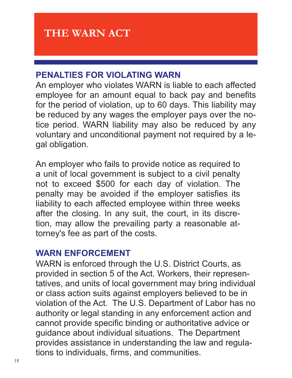# **PENALTIES FOR VIOLATING WARN**

An employer who violates WARN is liable to each affected employee for an amount equal to back pay and benefits for the period of violation, up to 60 days. This liability may be reduced by any wages the employer pays over the notice period. WARN liability may also be reduced by any voluntary and unconditional payment not required by a legal obligation.

An employer who fails to provide notice as required to a unit of local government is subject to a civil penalty not to exceed \$500 for each day of violation. The penalty may be avoided if the employer satisfies its liability to each affected employee within three weeks after the closing. In any suit, the court, in its discretion, may allow the prevailing party a reasonable attorney's fee as part of the costs.

#### **WARN ENFORCEMENT**

WARN is enforced through the U.S. District Courts, as provided in section 5 of the Act. Workers, their representatives, and units of local government may bring individual or class action suits against employers believed to be in violation of the Act. The U.S. Department of Labor has no authority or legal standing in any enforcement action and cannot provide specific binding or authoritative advice or guidance about individual situations. The Department provides assistance in understanding the law and regulations to individuals, firms, and communities.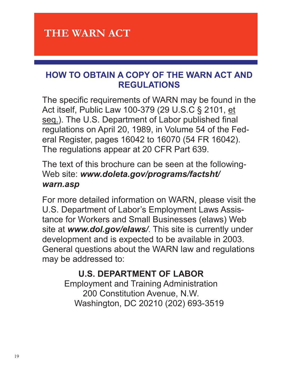# **HOW TO OBTAIN A COPY OF THE WARN ACT AND REGULATIONS**

The specific requirements of WARN may be found in the Act itself, Public Law 100-379 (29 U.S.C § 2101, et seq.). The U.S. Department of Labor published final regulations on April 20, 1989, in Volume 54 of the Federal Register, pages 16042 to 16070 (54 FR 16042). The regulations appear at 20 CFR Part 639.

The text of this brochure can be seen at the following-Web site: *www.doleta.gov/programs/factsht/ warn.asp* 

For more detailed information on WARN, please visit the U.S. Department of Labor's Employment Laws Assistance for Workers and Small Businesses (elaws) Web site at *www.dol.gov/elaws/*. This site is currently under development and is expected to be available in 2003. General questions about the WARN law and regulations may be addressed to:

# **U.S. DEPARTMENT OF LABOR**

Employment and Training Administration 200 Constitution Avenue, N.W. Washington, DC 20210 (202) 693-3519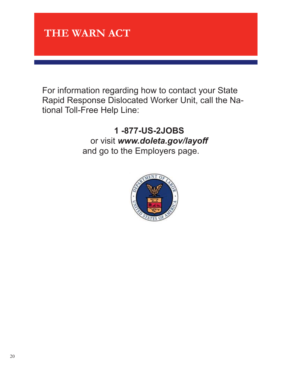

For information regarding how to contact your State Rapid Response Dislocated Worker Unit, call the National Toll-Free Help Line:

> **1 -877-US-2JOBS**  or visit *www.doleta.gov/layoff*  and go to the Employers page.

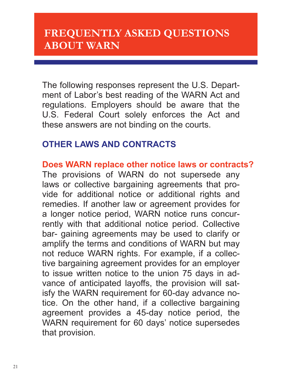The following responses represent the U.S. Department of Labor's best reading of the WARN Act and regulations. Employers should be aware that the U.S. Federal Court solely enforces the Act and these answers are not binding on the courts.

### **OTHER LAWS AND CONTRACTS**

**Does WARN replace other notice laws or contracts?**  The provisions of WARN do not supersede any laws or collective bargaining agreements that provide for additional notice or additional rights and remedies. If another law or agreement provides for a longer notice period, WARN notice runs concurrently with that additional notice period. Collective bar- gaining agreements may be used to clarify or amplify the terms and conditions of WARN but may not reduce WARN rights. For example, if a collective bargaining agreement provides for an employer to issue written notice to the union 75 days in advance of anticipated layoffs, the provision will satisfy the WARN requirement for 60-day advance notice. On the other hand, if a collective bargaining agreement provides a 45-day notice period, the WARN requirement for 60 days' notice supersedes that provision.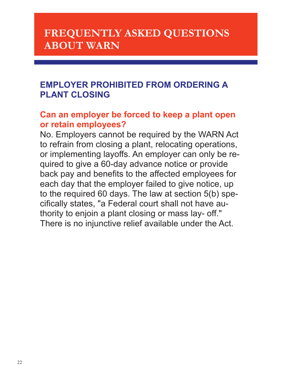# **EMPLOYER PROHIBITED FROM ORDERING A PLANT CLOSING**

### **Can an employer be forced to keep a plant open or retain employees?**

No. Employers cannot be required by the WARN Act to refrain from closing a plant, relocating operations, or implementing layoffs. An employer can only be required to give a 60-day advance notice or provide back pay and benefits to the affected employees for each day that the employer failed to give notice, up to the required 60 days. The law at section 5(b) specifically states, "a Federal court shall not have authority to enjoin a plant closing or mass lay- off." There is no injunctive relief available under the Act.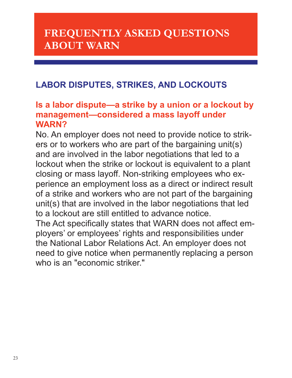# **LABOR DISPUTES, STRIKES, AND LOCKOUTS**

#### **Is a labor dispute—a strike by a union or a lockout by management—considered a mass layoff under WARN?**

No. An employer does not need to provide notice to strikers or to workers who are part of the bargaining unit(s) and are involved in the labor negotiations that led to a lockout when the strike or lockout is equivalent to a plant closing or mass layoff. Non-striking employees who experience an employment loss as a direct or indirect result of a strike and workers who are not part of the bargaining unit(s) that are involved in the labor negotiations that led to a lockout are still entitled to advance notice.

The Act specifically states that WARN does not affect employers' or employees' rights and responsibilities under the National Labor Relations Act. An employer does not need to give notice when permanently replacing a person who is an "economic striker."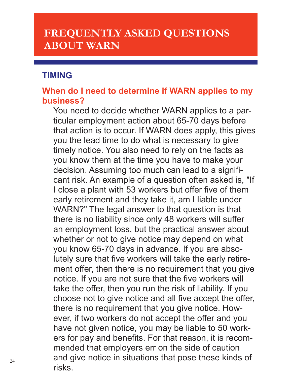#### **TIMING**

### **When do I need to determine if WARN applies to my business?**

You need to decide whether WARN applies to a particular employment action about 65-70 days before that action is to occur. If WARN does apply, this gives you the lead time to do what is necessary to give timely notice. You also need to rely on the facts as you know them at the time you have to make your decision. Assuming too much can lead to a significant risk. An example of a question often asked is, "If I close a plant with 53 workers but offer five of them early retirement and they take it, am I liable under WARN?" The legal answer to that question is that there is no liability since only 48 workers will suffer an employment loss, but the practical answer about whether or not to give notice may depend on what you know 65-70 days in advance. If you are absolutely sure that five workers will take the early retirement offer, then there is no requirement that you give notice. If you are not sure that the five workers will take the offer, then you run the risk of liability. If you choose not to give notice and all five accept the offer, there is no requirement that you give notice. However, if two workers do not accept the offer and you have not given notice, you may be liable to 50 workers for pay and benefits. For that reason, it is recommended that employers err on the side of caution and give notice in situations that pose these kinds of risks.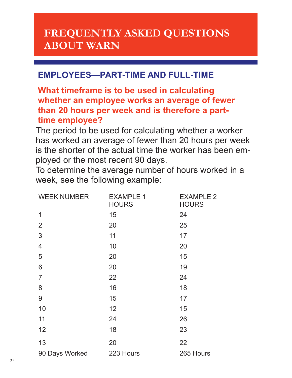# **EMPLOYEES—PART-TIME AND FULL-TIME**

### **What timeframe is to be used in calculating whether an employee works an average of fewer than 20 hours per week and is therefore a parttime employee?**

The period to be used for calculating whether a worker has worked an average of fewer than 20 hours per week is the shorter of the actual time the worker has been employed or the most recent 90 days.

To determine the average number of hours worked in a week, see the following example:

| <b>WEEK NUMBER</b>       | <b>EXAMPLE 1</b><br><b>HOURS</b> | <b>EXAMPLE 2</b><br><b>HOURS</b> |
|--------------------------|----------------------------------|----------------------------------|
| $\mathbf 1$              | 15                               | 24                               |
| $\overline{2}$           | 20                               | 25                               |
| 3                        | 11                               | 17                               |
| $\overline{4}$           | 10                               | 20                               |
| 5                        | 20                               | 15                               |
| 6                        | 20                               | 19                               |
| $\overline{7}$           | 22                               | 24                               |
| 8                        | 16                               | 18                               |
| 9                        | 15                               | 17                               |
| 10                       | 12                               | 15                               |
| 11                       | 24                               | 26                               |
| 12                       | 18                               | 23                               |
| 13                       | 20                               | 22                               |
| 90 Days Worked 223 Hours |                                  | 265 Hours                        |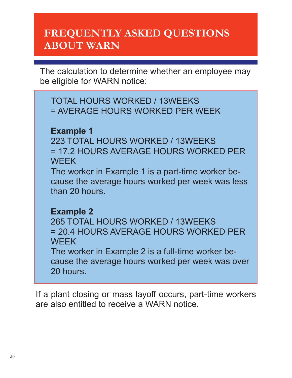The calculation to determine whether an employee may be eligible for WARN notice:

TOTAL HOURS WORKED / 13WEEKS = AVERAGE HOURS WORKED PER WEEK

### **Example 1**

223 TOTAL HOURS WORKED / 13WEEKS = 17.2 HOURS AVERAGE HOURS WORKED PER **WEEK** 

The worker in Example 1 is a part-time worker because the average hours worked per week was less than 20 hours.

#### **Example 2**

265 TOTAL HOURS WORKED / 13WEEKS = 20.4 HOURS AVERAGE HOURS WORKED PER **WEEK** 

The worker in Example 2 is a full-time worker because the average hours worked per week was over 20 hours.

If a plant closing or mass layoff occurs, part-time workers are also entitled to receive a WARN notice.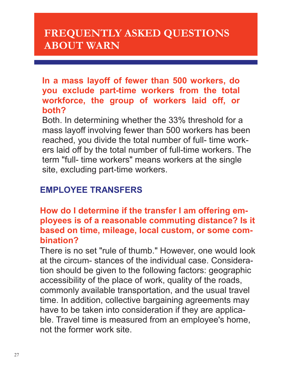**In a mass layoff of fewer than 500 workers, do you exclude part-time workers from the total workforce, the group of workers laid off, or both?** 

Both. In determining whether the 33% threshold for a mass layoff involving fewer than 500 workers has been reached, you divide the total number of full- time workers laid off by the total number of full-time workers. The term "full- time workers" means workers at the single site, excluding part-time workers.

# **EMPLOYEE TRANSFERS**

### **How do I determine if the transfer I am offering employees is of a reasonable commuting distance? Is it based on time, mileage, local custom, or some combination?**

There is no set "rule of thumb." However, one would look at the circum- stances of the individual case. Consideration should be given to the following factors: geographic accessibility of the place of work, quality of the roads, commonly available transportation, and the usual travel time. In addition, collective bargaining agreements may have to be taken into consideration if they are applicable. Travel time is measured from an employee's home, not the former work site.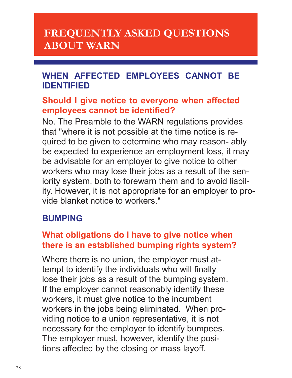### **WHEN AFFECTED EMPLOYEES CANNOT BE IDENTIFIED**

#### **Should I give notice to everyone when affected employees cannot be identified?**

No. The Preamble to the WARN regulations provides that "where it is not possible at the time notice is required to be given to determine who may reason- ably be expected to experience an employment loss, it may be advisable for an employer to give notice to other workers who may lose their jobs as a result of the seniority system, both to forewarn them and to avoid liability. However, it is not appropriate for an employer to provide blanket notice to workers."

# **BUMPING**

# **What obligations do I have to give notice when there is an established bumping rights system?**

Where there is no union, the employer must attempt to identify the individuals who will finally lose their jobs as a result of the bumping system. If the employer cannot reasonably identify these workers, it must give notice to the incumbent workers in the jobs being eliminated. When providing notice to a union representative, it is not necessary for the employer to identify bumpees. The employer must, however, identify the positions affected by the closing or mass layoff.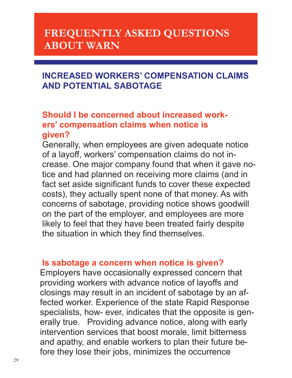# **INCREASED WORKERS' COMPENSATION CLAIMS AND POTENTIAL SABOTAGE**

# **Should I be concerned about increased workers' compensation claims when notice is given?**

Generally, when employees are given adequate notice of a layoff, workers' compensation claims do not increase. One major company found that when it gave notice and had planned on receiving more claims (and in fact set aside significant funds to cover these expected costs), they actually spent none of that money. As with concerns of sabotage, providing notice shows goodwill on the part of the employer, and employees are more likely to feel that they have been treated fairly despite the situation in which they find themselves.

#### **Is sabotage a concern when notice is given?**

Employers have occasionally expressed concern that providing workers with advance notice of layoffs and closings may result in an incident of sabotage by an affected worker. Experience of the state Rapid Response specialists, how- ever, indicates that the opposite is generally true. Providing advance notice, along with early intervention services that boost morale, limit bitterness and apathy, and enable workers to plan their future before they lose their jobs, minimizes the occurrence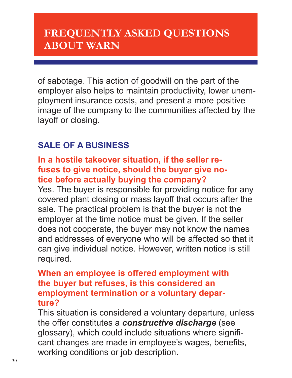of sabotage. This action of goodwill on the part of the employer also helps to maintain productivity, lower unemployment insurance costs, and present a more positive image of the company to the communities affected by the layoff or closing.

# **SALE OF A BUSINESS**

### **In a hostile takeover situation, if the seller refuses to give notice, should the buyer give notice before actually buying the company?**

Yes. The buyer is responsible for providing notice for any covered plant closing or mass layoff that occurs after the sale. The practical problem is that the buyer is not the employer at the time notice must be given. If the seller does not cooperate, the buyer may not know the names and addresses of everyone who will be affected so that it can give individual notice. However, written notice is still required.

### **When an employee is offered employment with the buyer but refuses, is this considered an employment termination or a voluntary departure?**

This situation is considered a voluntary departure, unless the offer constitutes a *constructive discharge* (see glossary), which could include situations where significant changes are made in employee's wages, benefits, working conditions or job description.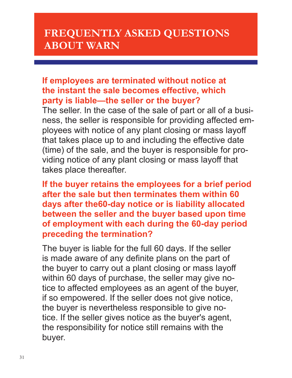### **If employees are terminated without notice at the instant the sale becomes effective, which party is liable—the seller or the buyer?**

The seller. In the case of the sale of part or all of a business, the seller is responsible for providing affected employees with notice of any plant closing or mass layoff that takes place up to and including the effective date (time) of the sale, and the buyer is responsible for providing notice of any plant closing or mass layoff that takes place thereafter.

**If the buyer retains the employees for a brief period after the sale but then terminates them within 60 days after the60-day notice or is liability allocated between the seller and the buyer based upon time of employment with each during the 60-day period preceding the termination?** 

The buyer is liable for the full 60 days. If the seller is made aware of any definite plans on the part of the buyer to carry out a plant closing or mass layoff within 60 days of purchase, the seller may give notice to affected employees as an agent of the buyer, if so empowered. If the seller does not give notice, the buyer is nevertheless responsible to give notice. If the seller gives notice as the buyer's agent, the responsibility for notice still remains with the buyer.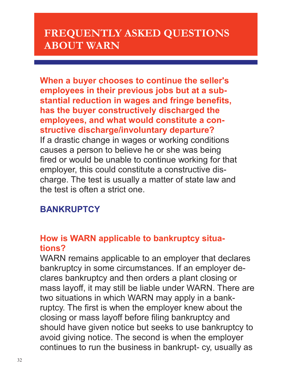**When a buyer chooses to continue the seller's employees in their previous jobs but at a substantial reduction in wages and fringe benefits, has the buyer constructively discharged the employees, and what would constitute a constructive discharge/involuntary departure?**  If a drastic change in wages or working conditions causes a person to believe he or she was being fired or would be unable to continue working for that employer, this could constitute a constructive discharge. The test is usually a matter of state law and the test is often a strict one.

# **BANKRUPTCY**

### **How is WARN applicable to bankruptcy situations?**

WARN remains applicable to an employer that declares bankruptcy in some circumstances. If an employer declares bankruptcy and then orders a plant closing or mass layoff, it may still be liable under WARN. There are two situations in which WARN may apply in a bankruptcy. The first is when the employer knew about the closing or mass layoff before filing bankruptcy and should have given notice but seeks to use bankruptcy to avoid giving notice. The second is when the employer continues to run the business in bankrupt- cy, usually as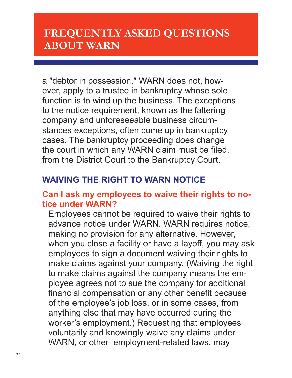a "debtor in possession." WARN does not, however, apply to a trustee in bankruptcy whose sole function is to wind up the business. The exceptions to the notice requirement, known as the faltering company and unforeseeable business circumstances exceptions, often come up in bankruptcy cases. The bankruptcy proceeding does change the court in which any WARN claim must be filed, from the District Court to the Bankruptcy Court.

# **WAIVING THE RIGHT TO WARN NOTICE**

### **Can I ask my employees to waive their rights to notice under WARN?**

Employees cannot be required to waive their rights to advance notice under WARN. WARN requires notice, making no provision for any alternative. However, when you close a facility or have a layoff, you may ask employees to sign a document waiving their rights to make claims against your company. (Waiving the right to make claims against the company means the employee agrees not to sue the company for additional financial compensation or any other benefit because of the employee's job loss, or in some cases, from anything else that may have occurred during the worker's employment.) Requesting that employees voluntarily and knowingly waive any claims under WARN, or other employment-related laws, may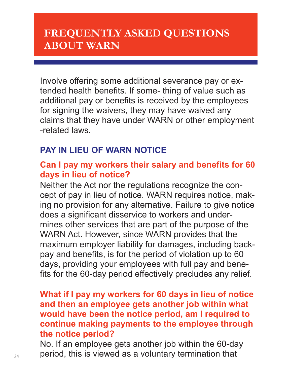Involve offering some additional severance pay or extended health benefits. If some- thing of value such as additional pay or benefits is received by the employees for signing the waivers, they may have waived any claims that they have under WARN or other employment -related laws.

### **PAY IN LIEU OF WARN NOTICE**

### **Can I pay my workers their salary and benefits for 60 days in lieu of notice?**

Neither the Act nor the regulations recognize the concept of pay in lieu of notice. WARN requires notice, making no provision for any alternative. Failure to give notice does a significant disservice to workers and undermines other services that are part of the purpose of the WARN Act. However, since WARN provides that the maximum employer liability for damages, including backpay and benefits, is for the period of violation up to 60 days, providing your employees with full pay and benefits for the 60-day period effectively precludes any relief.

### **What if I pay my workers for 60 days in lieu of notice and then an employee gets another job within what would have been the notice period, am I required to continue making payments to the employee through the notice period?**

No. If an employee gets another job within the 60-day  $_{34}$  period, this is viewed as a voluntary termination that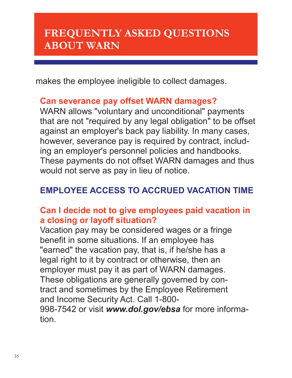makes the employee ineligible to collect damages.

#### **Can severance pay offset WARN damages?**

WARN allows "voluntary and unconditional" payments that are not "required by any legal obligation" to be offset against an employer's back pay liability. In many cases, however, severance pay is required by contract, including an employer's personnel policies and handbooks. These payments do not offset WARN damages and thus would not serve as pay in lieu of notice.

# **EMPLOYEE ACCESS TO ACCRUED VACATION TIME**

### **Can I decide not to give employees paid vacation in a closing or layoff situation?**

Vacation pay may be considered wages or a fringe benefit in some situations. If an employee has "earned" the vacation pay, that is, if he/she has a legal right to it by contract or otherwise, then an employer must pay it as part of WARN damages. These obligations are generally governed by contract and sometimes by the Employee Retirement and Income Security Act. Call 1-800-

998-7542 or visit *www.dol.gov/ebsa* for more information.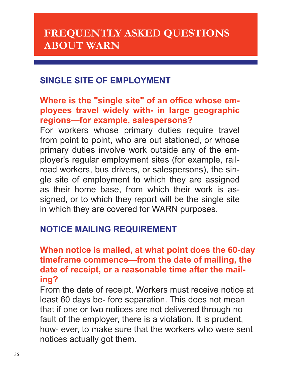### **SINGLE SITE OF EMPLOYMENT**

### **Where is the "single site" of an office whose employees travel widely with- in large geographic regions—for example, salespersons?**

For workers whose primary duties require travel from point to point, who are out stationed, or whose primary duties involve work outside any of the employer's regular employment sites (for example, railroad workers, bus drivers, or salespersons), the single site of employment to which they are assigned as their home base, from which their work is assigned, or to which they report will be the single site in which they are covered for WARN purposes.

# **NOTICE MAILING REQUIREMENT**

### **When notice is mailed, at what point does the 60-day timeframe commence—from the date of mailing, the date of receipt, or a reasonable time after the mailing?**

From the date of receipt. Workers must receive notice at least 60 days be- fore separation. This does not mean that if one or two notices are not delivered through no fault of the employer, there is a violation. It is prudent, how- ever, to make sure that the workers who were sent notices actually got them.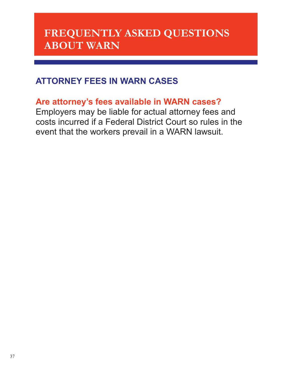# **ATTORNEY FEES IN WARN CASES**

### **Are attorney's fees available in WARN cases?**

Employers may be liable for actual attorney fees and costs incurred if a Federal District Court so rules in the event that the workers prevail in a WARN lawsuit.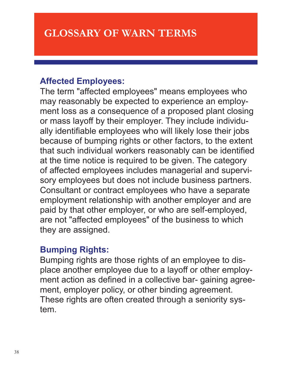### **Affected Employees:**

The term "affected employees" means employees who may reasonably be expected to experience an employment loss as a consequence of a proposed plant closing or mass layoff by their employer. They include individually identifiable employees who will likely lose their jobs because of bumping rights or other factors, to the extent that such individual workers reasonably can be identified at the time notice is required to be given. The category of affected employees includes managerial and supervisory employees but does not include business partners. Consultant or contract employees who have a separate employment relationship with another employer and are paid by that other employer, or who are self-employed, are not "affected employees" of the business to which they are assigned.

### **Bumping Rights:**

Bumping rights are those rights of an employee to displace another employee due to a layoff or other employment action as defined in a collective bar- gaining agreement, employer policy, or other binding agreement. These rights are often created through a seniority system.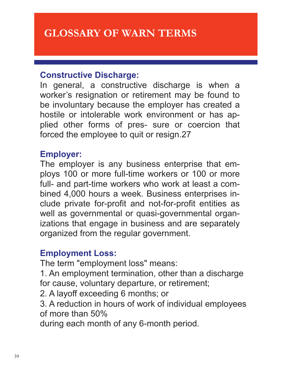### **Constructive Discharge:**

In general, a constructive discharge is when a worker's resignation or retirement may be found to be involuntary because the employer has created a hostile or intolerable work environment or has applied other forms of pres- sure or coercion that forced the employee to quit or resign.27

#### **Employer:**

The employer is any business enterprise that employs 100 or more full-time workers or 100 or more full- and part-time workers who work at least a combined 4,000 hours a week. Business enterprises include private for-profit and not-for-profit entities as well as governmental or quasi-governmental organizations that engage in business and are separately organized from the regular government.

#### **Employment Loss:**

The term "employment loss" means:

1. An employment termination, other than a discharge for cause, voluntary departure, or retirement;

2. A layoff exceeding 6 months; or

3. A reduction in hours of work of individual employees of more than 50%

during each month of any 6-month period.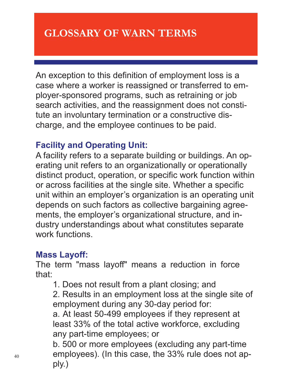An exception to this definition of employment loss is a case where a worker is reassigned or transferred to employer-sponsored programs, such as retraining or job search activities, and the reassignment does not constitute an involuntary termination or a constructive discharge, and the employee continues to be paid.

### **Facility and Operating Unit:**

A facility refers to a separate building or buildings. An operating unit refers to an organizationally or operationally distinct product, operation, or specific work function within or across facilities at the single site. Whether a specific unit within an employer's organization is an operating unit depends on such factors as collective bargaining agreements, the employer's organizational structure, and industry understandings about what constitutes separate work functions.

# **Mass Layoff:**

The term "mass layoff" means a reduction in force that:

1. Does not result from a plant closing; and

2. Results in an employment loss at the single site of employment during any 30-day period for:

a. At least 50-499 employees if they represent at least 33% of the total active workforce, excluding any part-time employees; or

b. 500 or more employees (excluding any part-time employees). (In this case, the 33% rule does not apply.)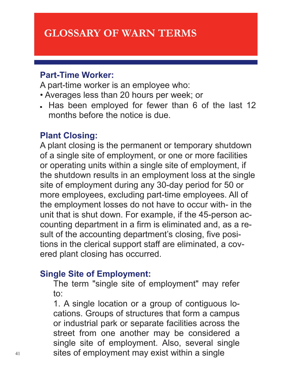# **GLOSSARY OF WARN TERMS**

#### **Part-Time Worker:**

A part-time worker is an employee who:

- Averages less than 20 hours per week; or
- . Has been employed for fewer than 6 of the last 12 months before the notice is due.

#### **Plant Closing:**

A plant closing is the permanent or temporary shutdown of a single site of employment, or one or more facilities or operating units within a single site of employment, if the shutdown results in an employment loss at the single site of employment during any 30-day period for 50 or more employees, excluding part-time employees. All of the employment losses do not have to occur with- in the unit that is shut down. For example, if the 45-person accounting department in a firm is eliminated and, as a result of the accounting department's closing, five positions in the clerical support staff are eliminated, a covered plant closing has occurred.

### **Single Site of Employment:**

The term "single site of employment" may refer to:

1. A single location or a group of contiguous locations. Groups of structures that form a campus or industrial park or separate facilities across the street from one another may be considered a single site of employment. Also, several single 41 sites of employment may exist within a single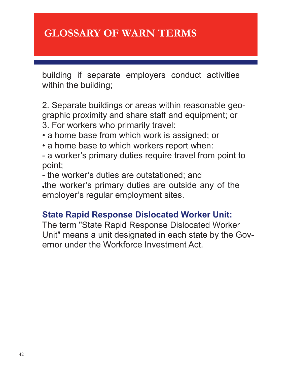# **GLOSSARY OF WARN TERMS**

building if separate employers conduct activities within the building;

2. Separate buildings or areas within reasonable geographic proximity and share staff and equipment; or 3. For workers who primarily travel:

- a home base from which work is assigned; or
- a home base to which workers report when:
- a worker's primary duties require travel from point to point;

- the worker's duties are outstationed; and

the worker's primary duties are outside any of the employer's regular employment sites.

# **State Rapid Response Dislocated Worker Unit:**

The term "State Rapid Response Dislocated Worker Unit" means a unit designated in each state by the Governor under the Workforce Investment Act.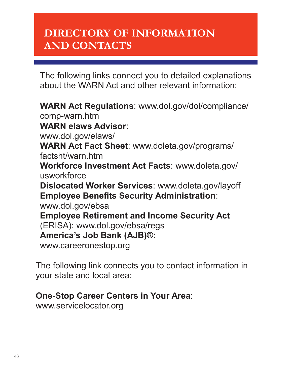# **DIRECTORY OF INFORMATION AND CONTACTS**

The following links connect you to detailed explanations about the WARN Act and other relevant information:

**WARN Act Regulations**: www.dol.gov/dol/compliance/ comp-warn.htm **WARN elaws Advisor**: www.dol.gov/elaws/ **WARN Act Fact Sheet**: www.doleta.gov/programs/ factsht/warn.htm **Workforce Investment Act Facts**: www.doleta.gov/ usworkforce **Dislocated Worker Services**: www.doleta.gov/layoff **Employee Benefits Security Administration**: www.dol.gov/ebsa **Employee Retirement and Income Security Act**  (ERISA): www.dol.gov/ebsa/regs **America's Job Bank (AJB)®:**  www.careeronestop.org

The following link connects you to contact information in your state and local area:

### **One-Stop Career Centers in Your Area**:

www.servicelocator.org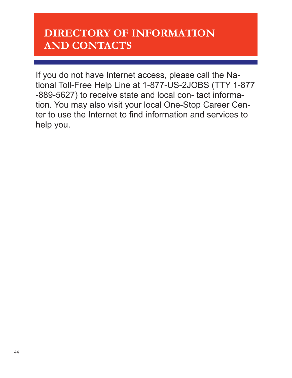# **DIRECTORY OF INFORMATION AND CONTACTS**

If you do not have Internet access, please call the National Toll-Free Help Line at 1-877-US-2JOBS (TTY 1-877 -889-5627) to receive state and local con- tact information. You may also visit your local One-Stop Career Center to use the Internet to find information and services to help you.